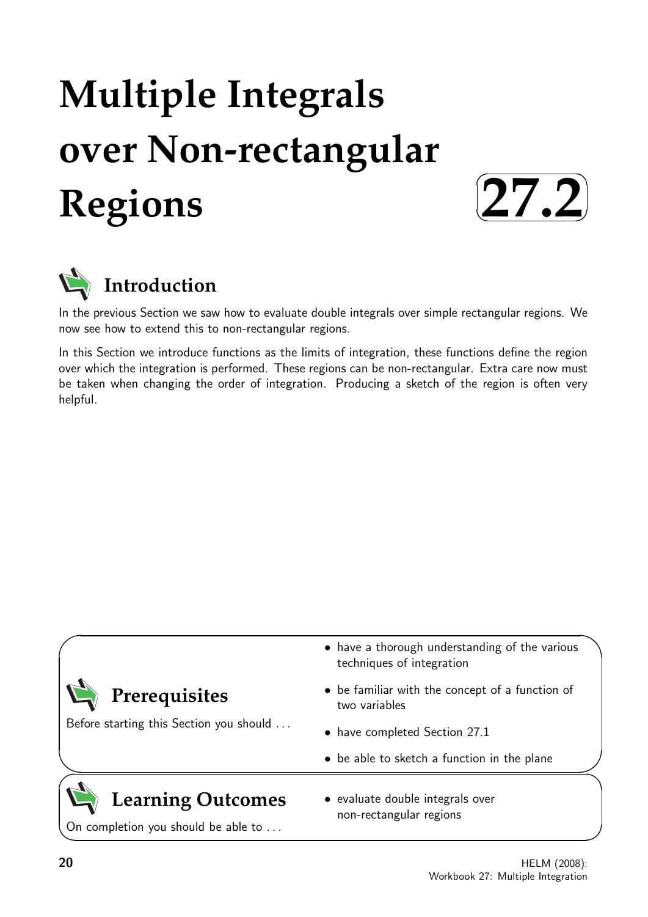# **Multiple Integrals over Non-rectangular Regions**





In the previous Section we saw how to evaluate double integrals over simple rectangular regions. We now see how to extend this to non-rectangular regions.

In this Section we introduce functions as the limits of integration, these functions define the region over which the integration is performed. These regions can be non-rectangular. Extra care now must be taken when changing the order of integration. Producing a sketch of the region is often very helpful.

| Prerequisites<br>Before starting this Section you should        | • have a thorough understanding of the various<br>techniques of integration |
|-----------------------------------------------------------------|-----------------------------------------------------------------------------|
|                                                                 | • be familiar with the concept of a function of<br>two variables            |
|                                                                 | • have completed Section 27.1                                               |
|                                                                 | • be able to sketch a function in the plane                                 |
| <b>Learning Outcomes</b><br>On completion you should be able to | • evaluate double integrals over<br>non-rectangular regions                 |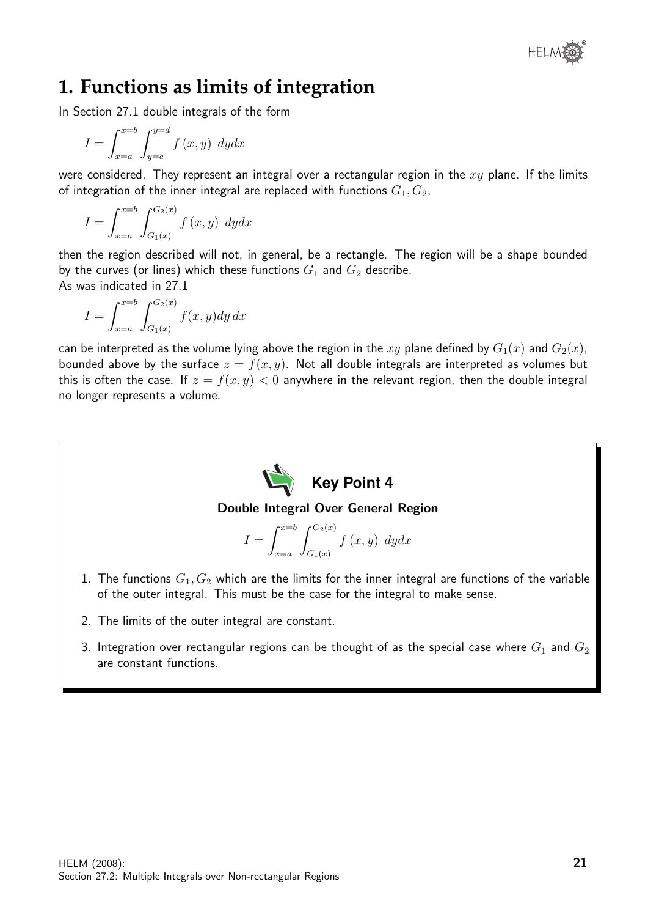

# **1. Functions as limits of integration**

In Section 27.1 double integrals of the form

$$
I = \int_{x=a}^{x=b} \int_{y=c}^{y=d} f(x, y) \ dy dx
$$

were considered. They represent an integral over a rectangular region in the  $xy$  plane. If the limits of integration of the inner integral are replaced with functions  $G_1, G_2$ ,

$$
I = \int_{x=a}^{x=b} \int_{G_1(x)}^{G_2(x)} f(x, y) \ dy dx
$$

then the region described will not, in general, be a rectangle. The region will be a shape bounded by the curves (or lines) which these functions  $G_1$  and  $G_2$  describe. As was indicated in 27.1

$$
I = \int_{x=a}^{x=b} \int_{G_1(x)}^{G_2(x)} f(x, y) dy dx
$$

can be interpreted as the volume lying above the region in the xy plane defined by  $G_1(x)$  and  $G_2(x)$ , bounded above by the surface  $z = f(x, y)$ . Not all double integrals are interpreted as volumes but this is often the case. If  $z = f(x, y) < 0$  anywhere in the relevant region, then the double integral no longer represents a volume.



- 2. The limits of the outer integral are constant.
- 3. Integration over rectangular regions can be thought of as the special case where  $G_1$  and  $G_2$ are constant functions.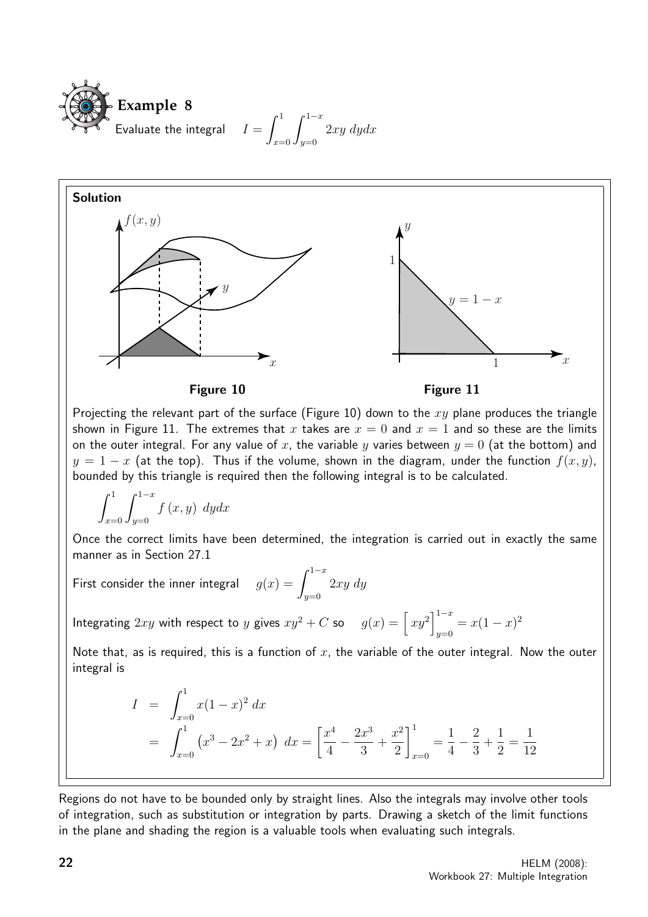



Projecting the relevant part of the surface (Figure 10) down to the  $xy$  plane produces the triangle shown in Figure 11. The extremes that x takes are  $x = 0$  and  $x = 1$  and so these are the limits on the outer integral. For any value of x, the variable y varies between  $y = 0$  (at the bottom) and  $y = 1 - x$  (at the top). Thus if the volume, shown in the diagram, under the function  $f(x, y)$ , bounded by this triangle is required then the following integral is to be calculated.

$$
\int_{x=0}^{1} \int_{y=0}^{1-x} f(x, y) \ dydx
$$

Once the correct limits have been determined, the integration is carried out in exactly the same manner as in Section 27.1

First consider the inner integral  $g(x) = \int^{1-x}$  $y=0$ 2xy dy

Integrating  $2xy$  with respect to y gives  $xy^2 + C$  so  $g(x) = \left\lceil xy^2 \right\rceil^{1-x}$  $y=0$  =  $x(1-x)^2$ 

Note that, as is required, this is a function of  $x$ , the variable of the outer integral. Now the outer integral is

$$
I = \int_{x=0}^{1} x(1-x)^2 dx
$$
  
=  $\int_{x=0}^{1} (x^3 - 2x^2 + x) dx = \left[ \frac{x^4}{4} - \frac{2x^3}{3} + \frac{x^2}{2} \right]_{x=0}^{1} = \frac{1}{4} - \frac{2}{3} + \frac{1}{2} = \frac{1}{12}$ 

Regions do not have to be bounded only by straight lines. Also the integrals may involve other tools of integration, such as substitution or integration by parts. Drawing a sketch of the limit functions in the plane and shading the region is a valuable tools when evaluating such integrals.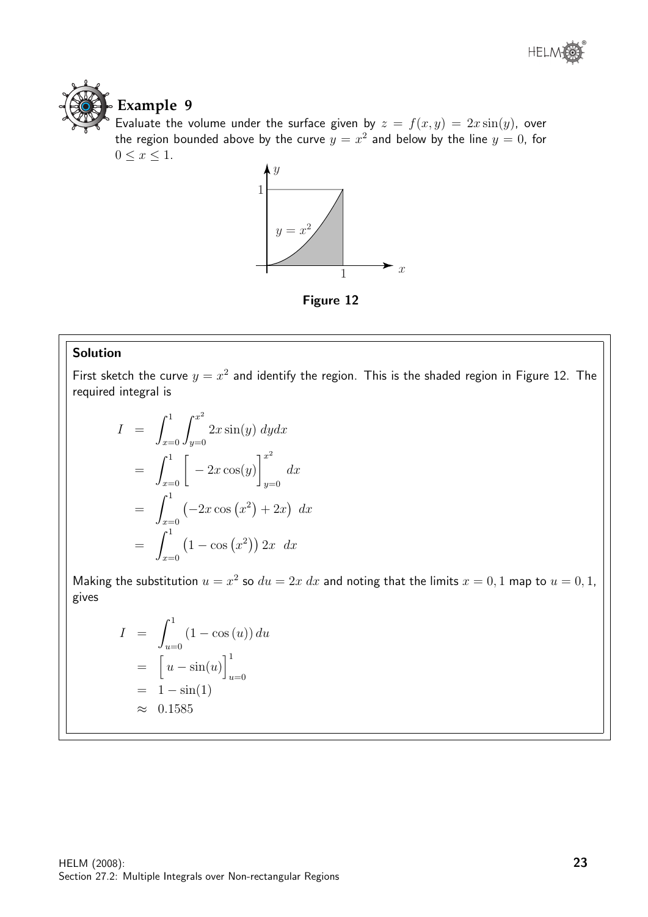

Evaluate the volume under the surface given by  $z = f(x, y) = 2x \sin(y)$ , over the region bounded above by the curve  $y=x^2$  and below by the line  $y=0$ , for  $0 \leq x \leq 1$ .



Figure 12

#### Solution

First sketch the curve  $y = x^2$  and identify the region. This is the shaded region in Figure 12. The required integral is

$$
I = \int_{x=0}^{1} \int_{y=0}^{x^2} 2x \sin(y) \, dy dx
$$
  
= 
$$
\int_{x=0}^{1} \left[ -2x \cos(y) \right]_{y=0}^{x^2} dx
$$
  
= 
$$
\int_{x=0}^{1} \left( -2x \cos(x^2) + 2x \right) dx
$$
  
= 
$$
\int_{x=0}^{1} \left( 1 - \cos(x^2) \right) 2x \, dx
$$

Making the substitution  $u = x^2$  so  $du = 2x dx$  and noting that the limits  $x = 0, 1$  map to  $u = 0, 1$ , gives

$$
I = \int_{u=0}^{1} (1 - \cos(u)) du
$$
  
= 
$$
\left[ u - \sin(u) \right]_{u=0}^{1}
$$
  
= 
$$
1 - \sin(1)
$$
  

$$
\approx 0.1585
$$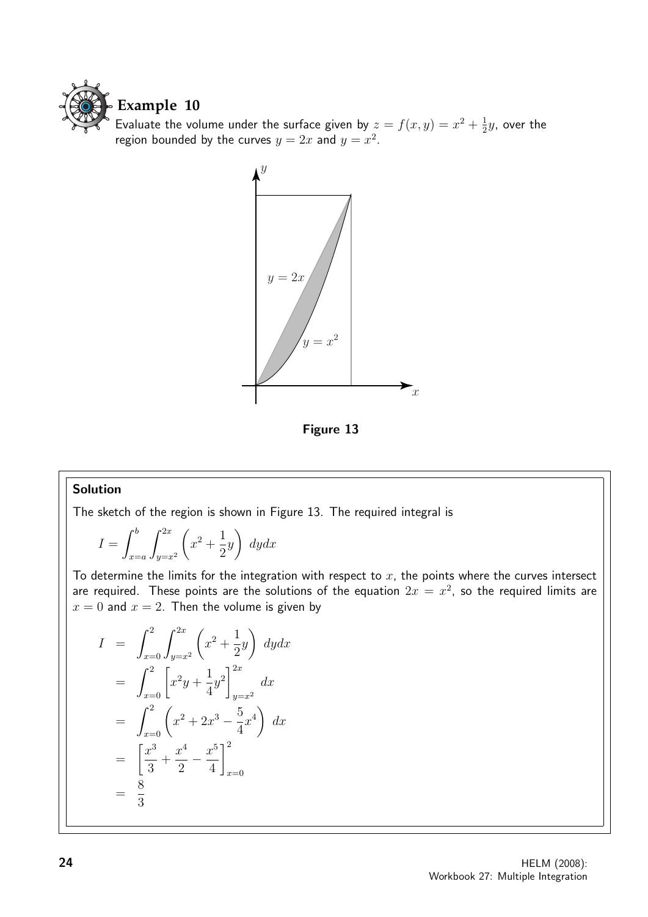

Evaluate the volume under the surface given by  $z = f(x, y) = x^2 + \frac{1}{2}$  $\frac{1}{2}y$ , over the region bounded by the curves  $y = 2x$  and  $y = x^2$ .



Figure 13

#### Solution

The sketch of the region is shown in Figure 13. The required integral is

$$
I = \int_{x=a}^{b} \int_{y=x^2}^{2x} \left( x^2 + \frac{1}{2}y \right) dy dx
$$

To determine the limits for the integration with respect to  $x$ , the points where the curves intersect are required. These points are the solutions of the equation  $2x = x^2$ , so the required limits are  $x = 0$  and  $x = 2$ . Then the volume is given by

$$
I = \int_{x=0}^{2} \int_{y=x^2}^{2x} \left( x^2 + \frac{1}{2} y \right) dy dx
$$
  
\n
$$
= \int_{x=0}^{2} \left[ x^2 y + \frac{1}{4} y^2 \right]_{y=x^2}^{2x} dx
$$
  
\n
$$
= \int_{x=0}^{2} \left( x^2 + 2x^3 - \frac{5}{4} x^4 \right) dx
$$
  
\n
$$
= \left[ \frac{x^3}{3} + \frac{x^4}{2} - \frac{x^5}{4} \right]_{x=0}^{2}
$$
  
\n
$$
= \frac{8}{3}
$$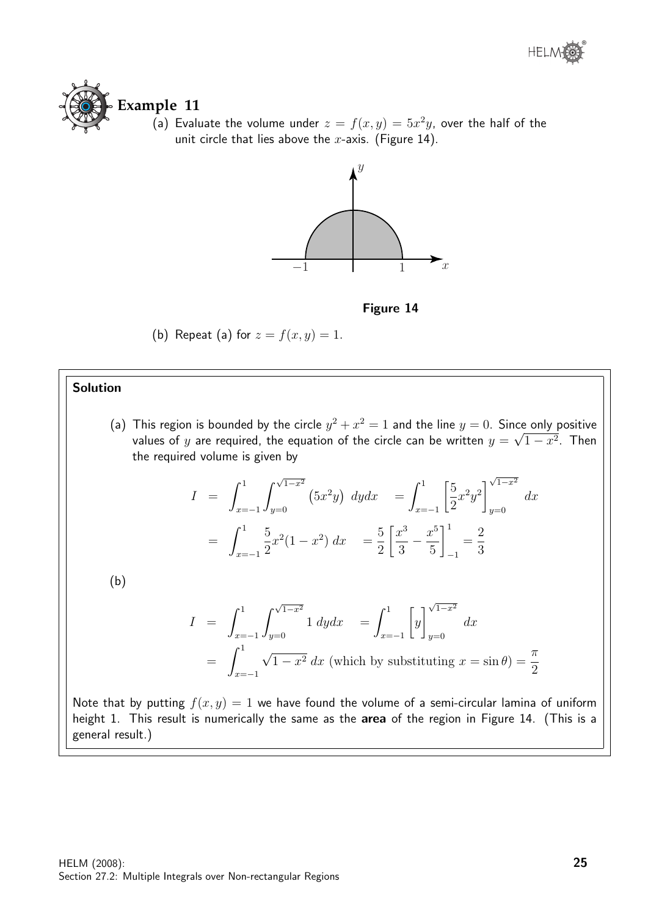

(a) Evaluate the volume under  $z = f(x, y) = 5x^2y$ , over the half of the unit circle that lies above the  $x$ -axis. (Figure 14).



Figure 14

(b) Repeat (a) for  $z = f(x, y) = 1$ .

#### Solution

(a) This region is bounded by the circle  $y^2 + x^2 = 1$  and the line  $y = 0$ . Since only positive values of  $y$  are required, the equation of the circle can be written  $y=\sqrt{1-x^2}.$  Then the required volume is given by

$$
I = \int_{x=-1}^{1} \int_{y=0}^{\sqrt{1-x^2}} (5x^2y) \, dy dx = \int_{x=-1}^{1} \left[ \frac{5}{2} x^2 y^2 \right]_{y=0}^{\sqrt{1-x^2}} dx
$$

$$
= \int_{x=-1}^{1} \frac{5}{2} x^2 (1-x^2) \, dx = \frac{5}{2} \left[ \frac{x^3}{3} - \frac{x^5}{5} \right]_{-1}^{1} = \frac{2}{3}
$$

(b)

$$
I = \int_{x=-1}^{1} \int_{y=0}^{\sqrt{1-x^2}} 1 \, dy dx = \int_{x=-1}^{1} \left[ y \right]_{y=0}^{\sqrt{1-x^2}} dx
$$
  
=  $\int_{x=-1}^{1} \sqrt{1-x^2} \, dx$  (which by substituting  $x = \sin \theta = \frac{\pi}{2}$ )

Note that by putting  $f(x, y) = 1$  we have found the volume of a semi-circular lamina of uniform height 1. This result is numerically the same as the area of the region in Figure 14. (This is a general result.)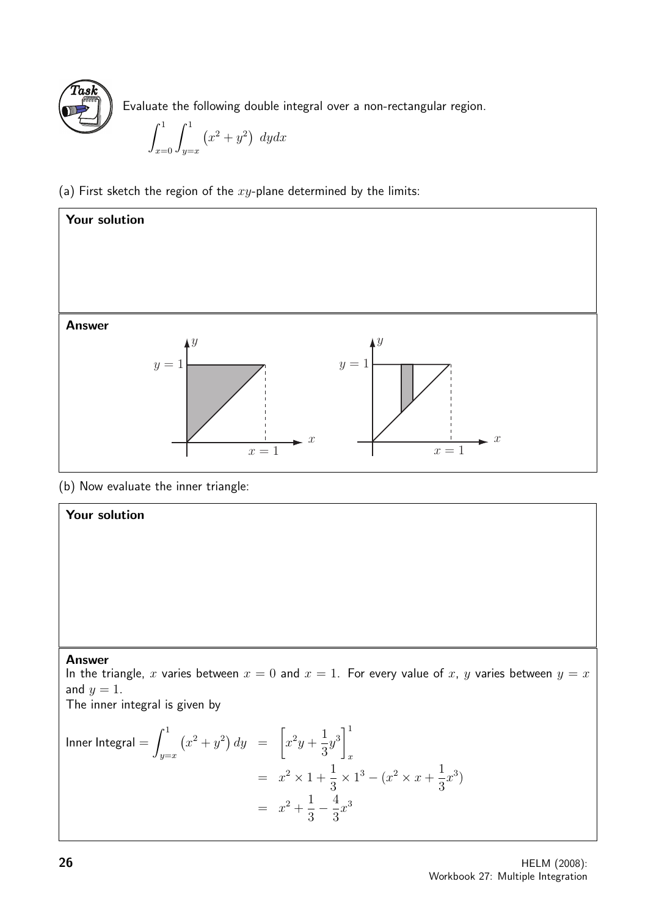

Evaluate the following double integral over a non-rectangular region.

$$
\int_{x=0}^{1} \int_{y=x}^{1} (x^2 + y^2) \ dydx
$$

(a) First sketch the region of the  $xy$ -plane determined by the limits:



(b) Now evaluate the inner triangle:

# Your solution

#### Answer

In the triangle, x varies between  $x = 0$  and  $x = 1$ . For every value of x, y varies between  $y = x$ and  $y = 1$ .

The inner integral is given by

Inner Integral =

\n
$$
\int_{y=x}^{1} (x^{2} + y^{2}) \, dy = \left[ x^{2}y + \frac{1}{3}y^{3} \right]_{x}^{1}
$$
\n
$$
= x^{2} \times 1 + \frac{1}{3} \times 1^{3} - (x^{2} \times x + \frac{1}{3}x^{3})
$$
\n
$$
= x^{2} + \frac{1}{3} - \frac{4}{3}x^{3}
$$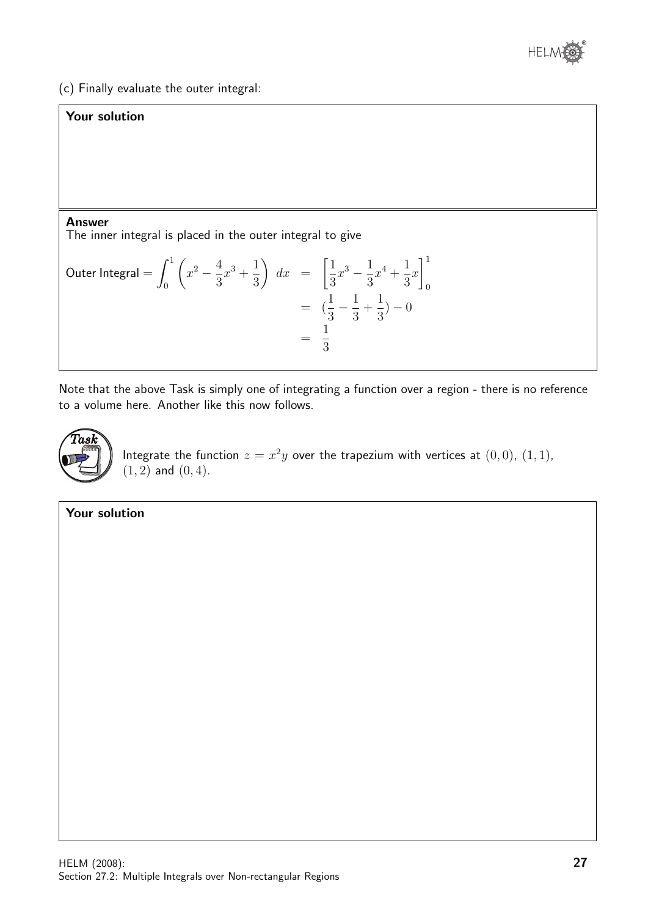

(c) Finally evaluate the outer integral:

## Your solution

#### Answer

The inner integral is placed in the outer integral to give

Outer Integral = 
$$
\int_0^1 \left( x^2 - \frac{4}{3}x^3 + \frac{1}{3} \right) dx = \left[ \frac{1}{3}x^3 - \frac{1}{3}x^4 + \frac{1}{3}x \right]_0^1
$$
  
\n=  $\left( \frac{1}{3} - \frac{1}{3} + \frac{1}{3} \right) - 0$   
\n=  $\frac{1}{3}$ 

Note that the above Task is simply one of integrating a function over a region - there is no reference to a volume here. Another like this now follows.



Integrate the function  $z = x^2y$  over the trapezium with vertices at  $(0,0)$ ,  $(1,1)$ ,  $(1, 2)$  and  $(0, 4)$ .

Your solution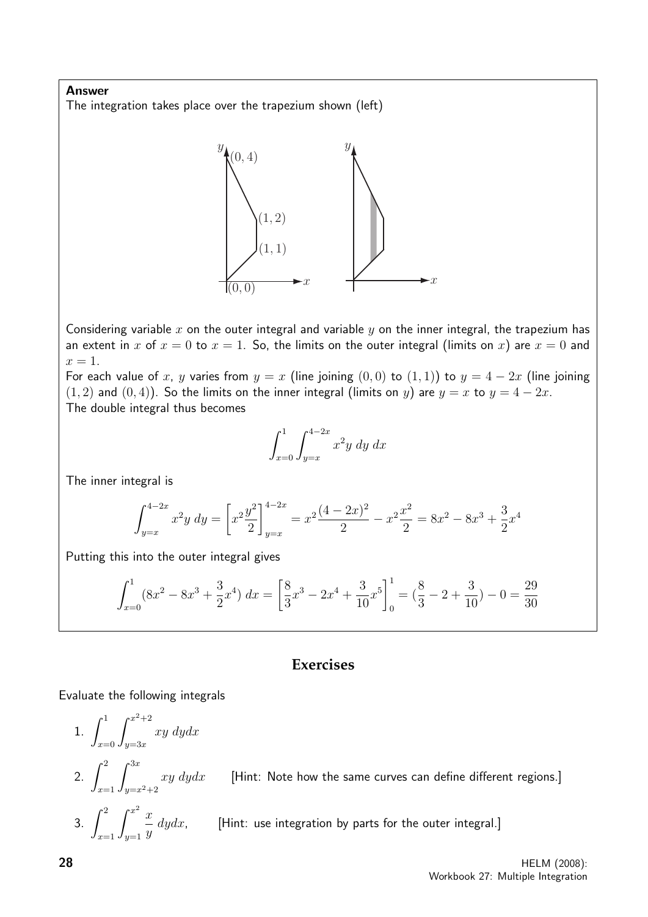Answer The integration takes place over the trapezium shown (left)



Considering variable  $x$  on the outer integral and variable  $y$  on the inner integral, the trapezium has an extent in x of  $x = 0$  to  $x = 1$ . So, the limits on the outer integral (limits on x) are  $x = 0$  and  $x=1$ .

For each value of x, y varies from  $y = x$  (line joining  $(0, 0)$  to  $(1, 1)$ ) to  $y = 4 - 2x$  (line joining  $(1, 2)$  and  $(0, 4)$ ). So the limits on the inner integral (limits on y) are  $y = x$  to  $y = 4 - 2x$ . The double integral thus becomes

$$
\int_{x=0}^{1} \int_{y=x}^{4-2x} x^2 y \, dy \, dx
$$

The inner integral is

$$
\int_{y=x}^{4-2x} x^2 y \, dy = \left[ x^2 \frac{y^2}{2} \right]_{y=x}^{4-2x} = x^2 \frac{(4-2x)^2}{2} - x^2 \frac{x^2}{2} = 8x^2 - 8x^3 + \frac{3}{2}x^4
$$

Putting this into the outer integral gives

$$
\int_{x=0}^{1} (8x^2 - 8x^3 + \frac{3}{2}x^4) dx = \left[ \frac{8}{3}x^3 - 2x^4 + \frac{3}{10}x^5 \right]_0^1 = \left( \frac{8}{3} - 2 + \frac{3}{10} \right) - 0 = \frac{29}{30}
$$

### **Exercises**

#### Evaluate the following integrals

1. 
$$
\int_{x=0}^{1} \int_{y=3x}^{x^2+2} xy \, dy dx
$$
  
\n2. 
$$
\int_{x=1}^{2} \int_{y=x^2+2}^{3x} xy \, dy dx
$$
 [Hint: Note how the same curves can define different regions.]  
\n3. 
$$
\int_{x=1}^{2} \int_{y=1}^{x^2} \frac{x}{y} \, dy dx
$$
 [Hint: use integration by parts for the outer integral.]  
\n28  
\nHELM (2008):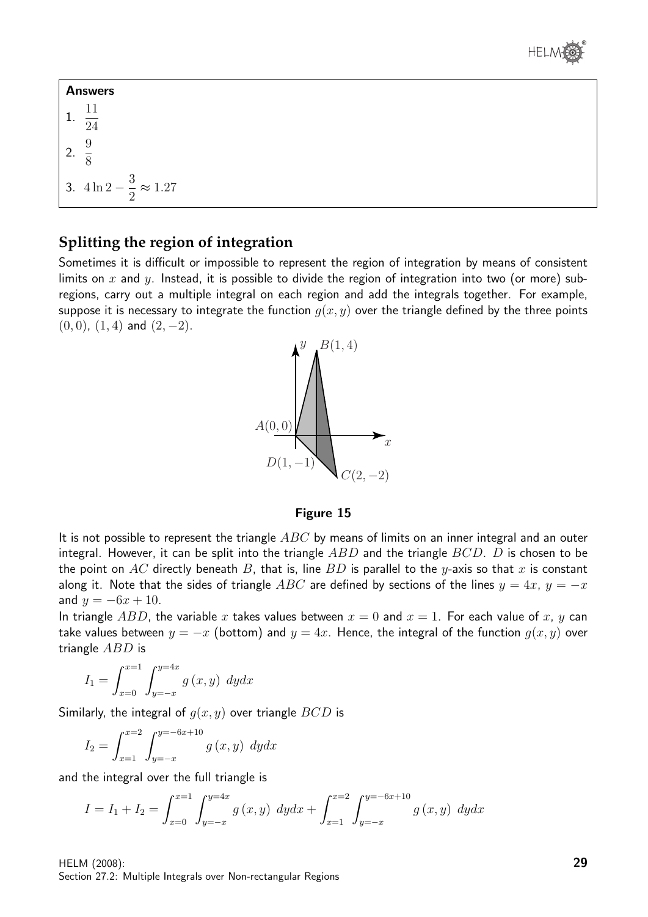

Answers 1. 11 24 2. 9  $\frac{1}{8}$ 3. 4 ln 2 − 3 2  $\approx 1.27$ 

# **Splitting the region of integration**

Sometimes it is difficult or impossible to represent the region of integration by means of consistent limits on x and y. Instead, it is possible to divide the region of integration into two (or more) subregions, carry out a multiple integral on each region and add the integrals together. For example, suppose it is necessary to integrate the function  $q(x, y)$  over the triangle defined by the three points  $(0, 0)$ ,  $(1, 4)$  and  $(2, -2)$ .



#### Figure 15

It is not possible to represent the triangle  $ABC$  by means of limits on an inner integral and an outer integral. However, it can be split into the triangle  $ABD$  and the triangle  $BCD$ . D is chosen to be the point on AC directly beneath B, that is, line BD is parallel to the y-axis so that x is constant along it. Note that the sides of triangle ABC are defined by sections of the lines  $y = 4x$ ,  $y = -x$ and  $y = -6x + 10$ .

In triangle ABD, the variable x takes values between  $x = 0$  and  $x = 1$ . For each value of x, y can take values between  $y = -x$  (bottom) and  $y = 4x$ . Hence, the integral of the function  $g(x, y)$  over triangle ABD is

$$
I_1 = \int_{x=0}^{x=1} \int_{y=-x}^{y=4x} g(x, y) \, dy dx
$$

Similarly, the integral of  $g(x, y)$  over triangle  $BCD$  is

$$
I_2 = \int_{x=1}^{x=2} \int_{y=-x}^{y=-6x+10} g(x,y) \, dy dx
$$

and the integral over the full triangle is

$$
I = I_1 + I_2 = \int_{x=0}^{x=1} \int_{y=-x}^{y=4x} g(x, y) \, dy dx + \int_{x=1}^{x=2} \int_{y=-x}^{y=-6x+10} g(x, y) \, dy dx
$$

HELM (2008): Section 27.2: Multiple Integrals over Non-rectangular Regions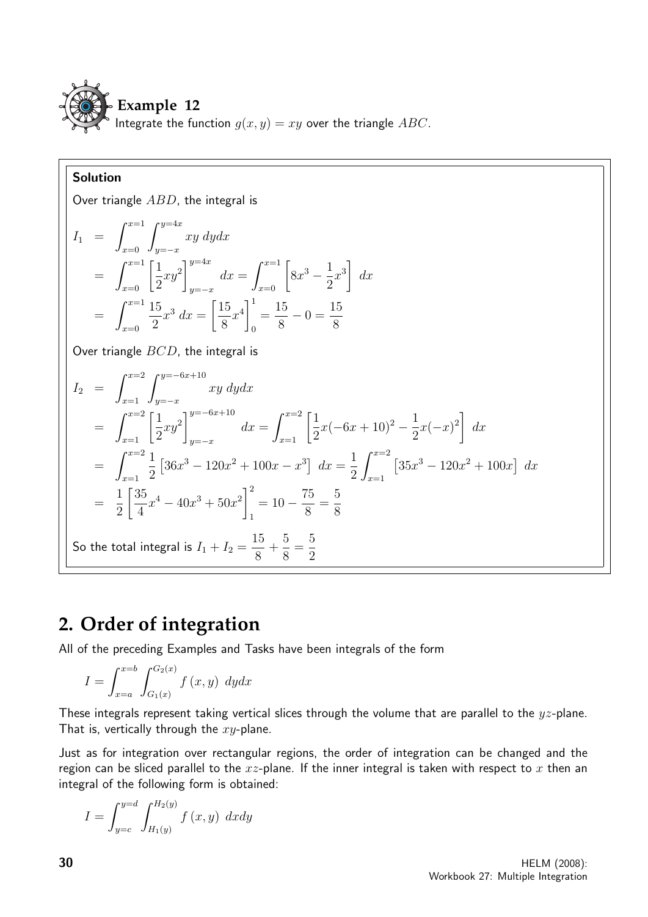

#### Solution Over triangle ABD, the integral is  $I_1 =$  $\int_0^{x=1}$  $x=0$  $\int y=4x$  $y=-x$ xy dydx  $= \int_{x=0}^{x=1} \left[\frac{1}{2}\right]$ 2  $xy^2$  $\mathcal{I}^{y=4x}$  $y=-x$  $dx = \int_{x=0}^{x=1} [$  $8x^3 - \frac{1}{2}$ 2  $x^3$  $dx$  $=\int^{x=1}$  $x=0$ 15 2  $x^3 dx =$  $\lceil 15 \rceil$ 8  $x^4$ <sup>1</sup> 0 = 15 8  $-0=\frac{15}{8}$ 8 Over triangle  $BCD$ , the integral is  $I_2 =$  $\int_0^{x=2}$  $x=1$  $\int y=-6x+10$  $y=-x$ xy dydx  $= \int_{x=1}^{x=2} \left[\frac{1}{2}\right]$ 2  $xy^2$  $7^{y=-6x+10}$  $y=-x$  $dx = \int_{x=1}^{x=2} \left[ \frac{1}{2} \right]$ 2  $x(-6x+10)^2-\frac{1}{2}$ 2  $x(-x)^2$  $dx$  $=\int_0^{x=2}$  $x=1$ 1 2  $\left[36x^3 - 120x^2 + 100x - x^3\right] dx =$ 1 2  $\int_0^{x=2}$  $x=1$  $\left[35x^3 - 120x^2 + 100x\right] dx$ = 1 2 35 4  $x^4 - 40x^3 + 50x^2$ <sup>2</sup> 1  $= 10 - \frac{75}{8}$ 8 = 5 8 So the total integral is  $I_1+I_2=\emptyset$ 15 8 + 5 8 = 5 2

# **2. Order of integration**

All of the preceding Examples and Tasks have been integrals of the form

$$
I = \int_{x=a}^{x=b} \int_{G_1(x)}^{G_2(x)} f(x, y) \, dy dx
$$

These integrals represent taking vertical slices through the volume that are parallel to the  $yz$ -plane. That is, vertically through the  $xy$ -plane.

Just as for integration over rectangular regions, the order of integration can be changed and the region can be sliced parallel to the  $xz$ -plane. If the inner integral is taken with respect to x then an integral of the following form is obtained:

$$
I = \int_{y=c}^{y=d} \int_{H_1(y)}^{H_2(y)} f(x, y) \ dx dy
$$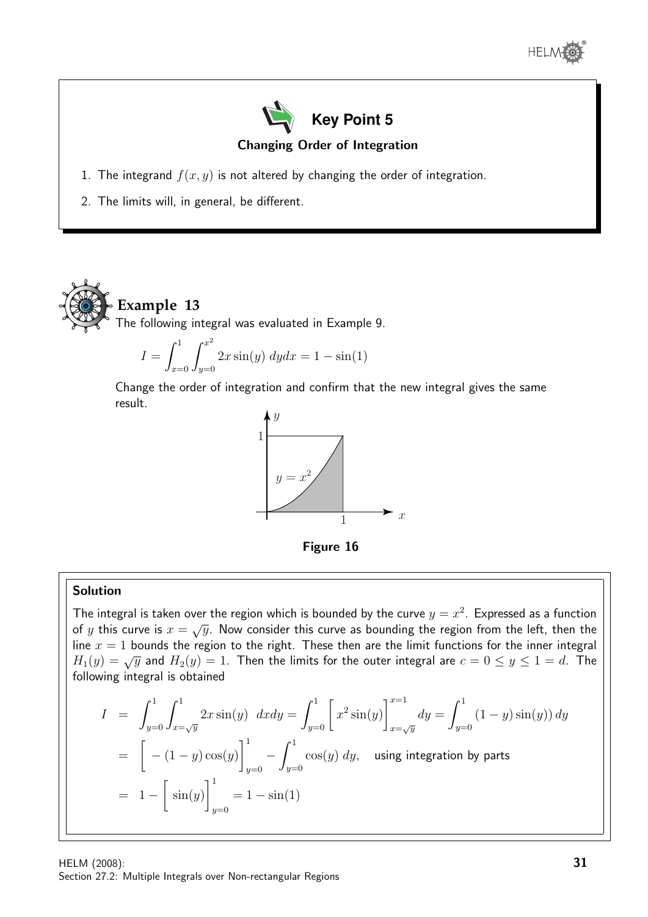



- 1. The integrand  $f(x, y)$  is not altered by changing the order of integration.
- 2. The limits will, in general, be different.



The following integral was evaluated in Example 9.

$$
I = \int_{x=0}^{1} \int_{y=0}^{x^2} 2x \sin(y) \, dy dx = 1 - \sin(1)
$$

Change the order of integration and confirm that the new integral gives the same result.



Figure 16

#### Solution

The integral is taken over the region which is bounded by the curve  $y = x^2$ . Expressed as a function The integral is taken over the region which is bounded by the earve  $y = x$ . Expressed as a function<br>of y this curve is  $x = \sqrt{y}$ . Now consider this curve as bounding the region from the left, then the line  $x = 1$  bounds the region to the right. These then are the limit functions for the inner integral  $H_1(y) = \sqrt{y}$  and  $H_2(y) = 1$ . Then the limits for the outer integral are  $c = 0 \le y \le 1 = d$ . The following integral is obtained

$$
I = \int_{y=0}^{1} \int_{x=\sqrt{y}}^{1} 2x \sin(y) \, dx dy = \int_{y=0}^{1} \left[ x^2 \sin(y) \right]_{x=\sqrt{y}}^{x=1} dy = \int_{y=0}^{1} (1-y) \sin(y) \, dy
$$
  
=  $\left[ -(1-y) \cos(y) \right]_{y=0}^{1} - \int_{y=0}^{1} \cos(y) \, dy$ , using integration by parts  
=  $1 - \left[ \sin(y) \right]_{y=0}^{1} = 1 - \sin(1)$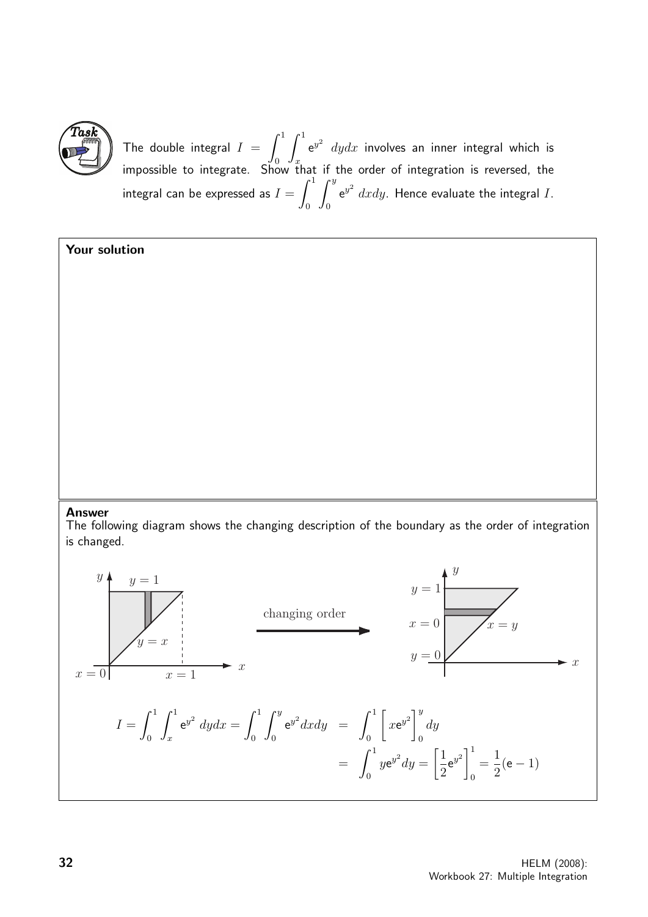

The double integral  $I = \int^1$  $\mathbf{0}$  $\int_0^1$ x  $e^{y^2}$   $dydx$  involves an inner integral which is impossible to integrate. Show that if the order of integration is reversed, the integral can be expressed as  $I=\int^1$ 0  $\int^y$ 0  ${\rm e}^{y^2}$   $dxdy.$  Hence evaluate the integral  $I.$ 

### Your solution

#### Answer

The following diagram shows the changing description of the boundary as the order of integration is changed.

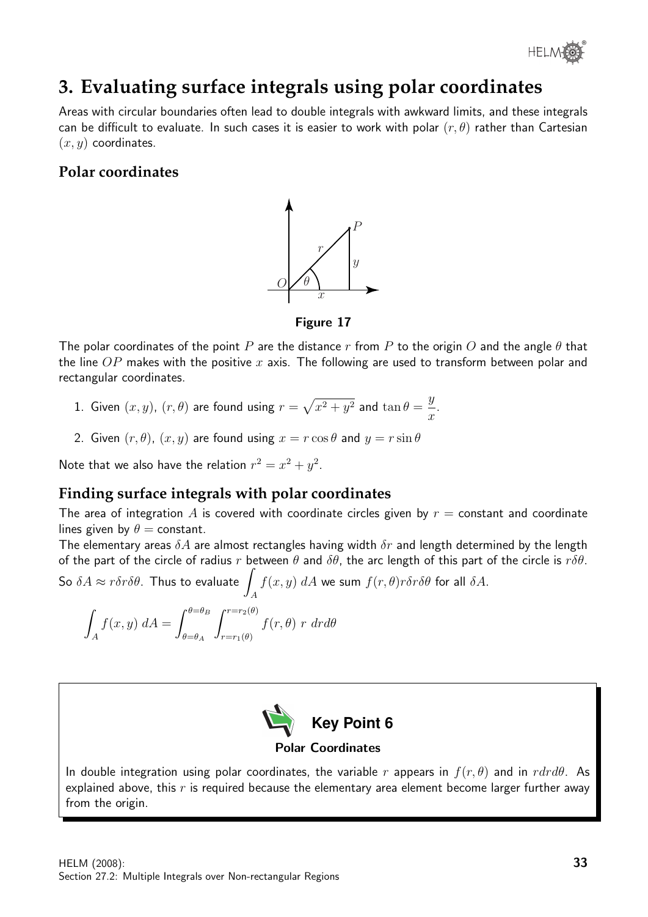

# **3. Evaluating surface integrals using polar coordinates**

Areas with circular boundaries often lead to double integrals with awkward limits, and these integrals can be difficult to evaluate. In such cases it is easier to work with polar  $(r, \theta)$  rather than Cartesian  $(x, y)$  coordinates.

# **Polar coordinates**



Figure 17

The polar coordinates of the point P are the distance r from P to the origin O and the angle  $\theta$  that the line  $OP$  makes with the positive x axis. The following are used to transform between polar and rectangular coordinates.

- 1. Given  $(x,y)$ ,  $(r, \theta)$  are found using  $r = \sqrt{x^2 + y^2}$  and  $\tan \theta = \frac{y^2 + y^2}{2}$  $\overline{x}$ .
- 2. Given  $(r, \theta)$ ,  $(x, y)$  are found using  $x = r \cos \theta$  and  $y = r \sin \theta$

Note that we also have the relation  $r^2 = x^2 + y^2$ .

# **Finding surface integrals with polar coordinates**

The area of integration A is covered with coordinate circles given by  $r =$  constant and coordinate lines given by  $\theta$  = constant.

The elementary areas  $\delta A$  are almost rectangles having width  $\delta r$  and length determined by the length of the part of the circle of radius r between  $\theta$  and  $\delta\theta$ , the arc length of this part of the circle is  $r\delta\theta$ .

So 
$$
\delta A \approx r \delta r \delta \theta
$$
. Thus to evaluate  $\int_A f(x, y) dA$  we sum  $f(r, \theta) r \delta r \delta \theta$  for all  $\delta A$ .

$$
\int_{A} f(x, y) dA = \int_{\theta = \theta_A}^{\theta = \theta_B} \int_{r = r_1(\theta)}^{r = r_2(\theta)} f(r, \theta) r dr d\theta
$$



#### Polar Coordinates

In double integration using polar coordinates, the variable r appears in  $f(r, \theta)$  and in  $rdrd\theta$ . As explained above, this  $r$  is required because the elementary area element become larger further away from the origin.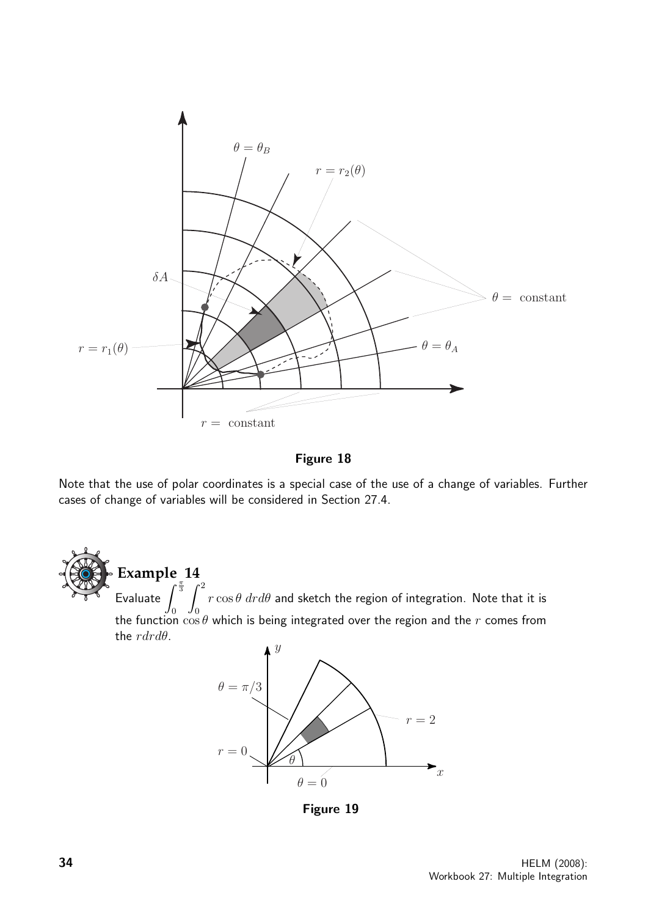

Figure 18

Note that the use of polar coordinates is a special case of the use of a change of variables. Further cases of change of variables will be considered in Section 27.4.

**Example 14** Evaluate  $\int_0^{\frac{\pi}{3}}$  $\mathbf{0}$  $\int_0^2$  $\mathbf{0}$  $r\cos\theta\ dr d\theta$  and sketch the region of integration. Note that it is the function  $\cos\theta$  which is being integrated over the region and the  $r$  comes from the  $rdrd\theta$ .



Figure 19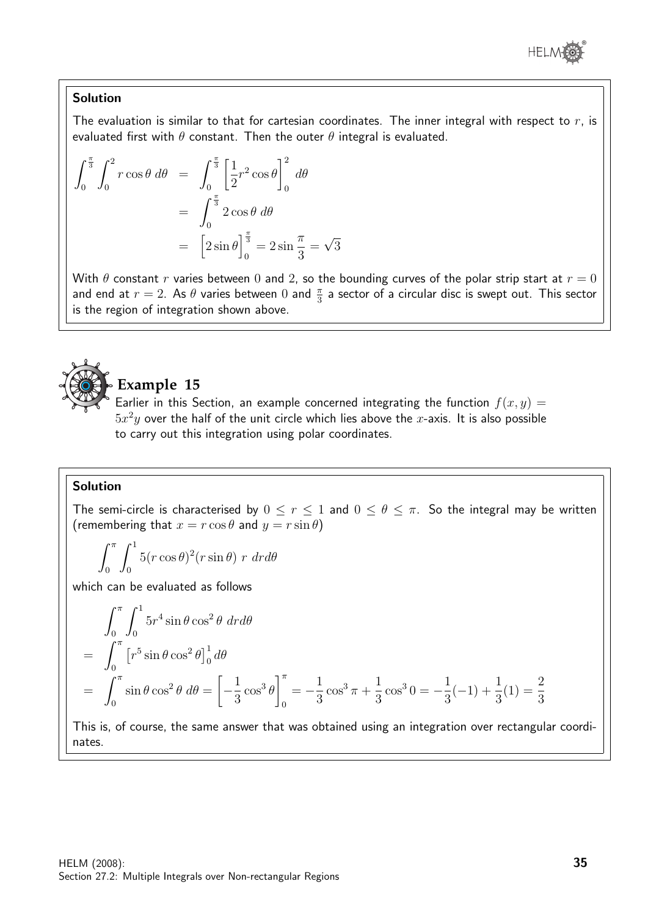

#### Solution

The evaluation is similar to that for cartesian coordinates. The inner integral with respect to  $r$ , is evaluated first with  $\theta$  constant. Then the outer  $\theta$  integral is evaluated.

$$
\int_0^{\frac{\pi}{3}} \int_0^2 r \cos \theta \, d\theta = \int_0^{\frac{\pi}{3}} \left[ \frac{1}{2} r^2 \cos \theta \right]_0^2 \, d\theta
$$

$$
= \int_0^{\frac{\pi}{3}} 2 \cos \theta \, d\theta
$$

$$
= \left[ 2 \sin \theta \right]_0^{\frac{\pi}{3}} = 2 \sin \frac{\pi}{3} = \sqrt{3}
$$

With  $\theta$  constant r varies between 0 and 2, so the bounding curves of the polar strip start at  $r = 0$ and end at  $r=2$ . As  $\theta$  varies between  $0$  and  $\frac{\pi}{3}$  a sector of a circular disc is swept out. This sector is the region of integration shown above.



# **Example 15**

Earlier in this Section, an example concerned integrating the function  $f(x, y) =$  $5x^2y$  over the half of the unit circle which lies above the  $x$ -axis. It is also possible to carry out this integration using polar coordinates.

#### Solution

The semi-circle is characterised by  $0 \le r \le 1$  and  $0 \le \theta \le \pi$ . So the integral may be written (remembering that  $x = r \cos \theta$  and  $y = r \sin \theta$ )

$$
\int_0^{\pi} \int_0^1 5(r \cos \theta)^2 (r \sin \theta) r dr d\theta
$$

which can be evaluated as follows

$$
\begin{aligned}\n\int_0^{\pi} \int_0^1 5r^4 \sin \theta \cos^2 \theta \, dr d\theta \\
&= \int_0^{\pi} \left[ r^5 \sin \theta \cos^2 \theta \right]_0^1 d\theta \\
&= \int_0^{\pi} \sin \theta \cos^2 \theta \, d\theta = \left[ -\frac{1}{3} \cos^3 \theta \right]_0^{\pi} = -\frac{1}{3} \cos^3 \pi + \frac{1}{3} \cos^3 0 = -\frac{1}{3} (-1) + \frac{1}{3} (1) = \frac{2}{3}\n\end{aligned}
$$

This is, of course, the same answer that was obtained using an integration over rectangular coordinates.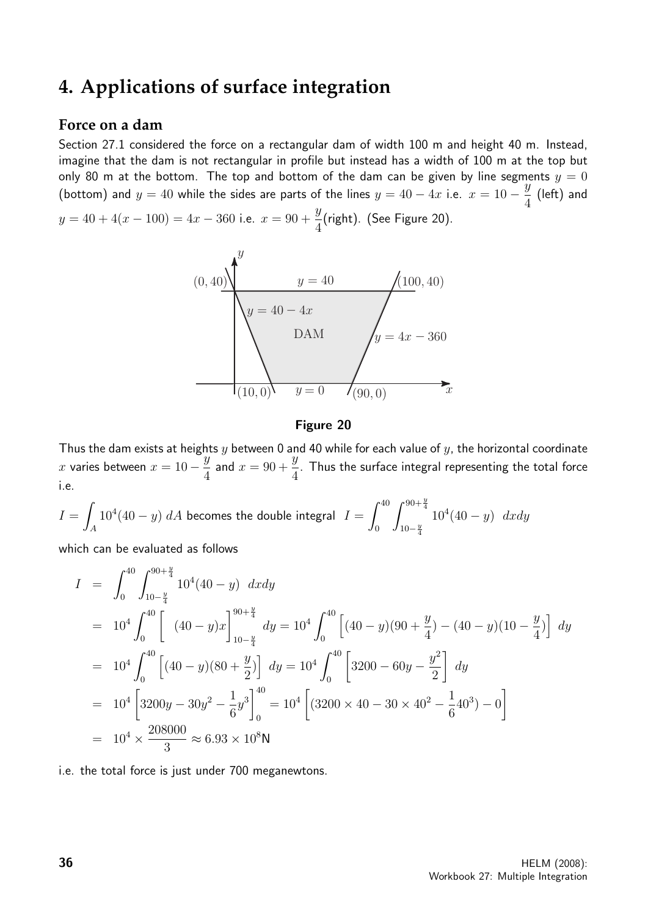# **4. Applications of surface integration**

### **Force on a dam**

Section 27.1 considered the force on a rectangular dam of width 100 m and height 40 m. Instead, imagine that the dam is not rectangular in profile but instead has a width of 100 m at the top but only 80 m at the bottom. The top and bottom of the dam can be given by line segments  $y = 0$ (bottom) and  $y = 40$  while the sides are parts of the lines  $y = 40 - 4x$  i.e.  $x = 10 - \frac{y}{4}$ 4 (left) and  $y = 40 + 4(x - 100) = 4x - 360$  i.e.  $x = 90 + \frac{y}{4}$ 4 (right). (See Figure 20).



#### Figure 20

Thus the dam exists at heights  $y$  between 0 and 40 while for each value of  $y$ , the horizontal coordinate x varies between  $x = 10 - \frac{y}{4}$ 4 and  $x = 90 +$  $\ddot{y}$ 4 . Thus the surface integral representing the total force i.e.

 $I =$ A  $10^4(40-y)~dA$  becomes the double integral  $I=\int^{40}$ 0  $\int^{90+\frac{y}{4}}$  $10-\frac{y}{4}$  $10^4(40-y)$  dxdy

which can be evaluated as follows

$$
I = \int_0^{40} \int_{10 - \frac{y}{4}}^{90 + \frac{y}{4}} 10^4 (40 - y) \, dx \, dy
$$
  
\n
$$
= 10^4 \int_0^{40} \left[ (40 - y)x \right]_{10 - \frac{y}{4}}^{90 + \frac{y}{4}} dy = 10^4 \int_0^{40} \left[ (40 - y)(90 + \frac{y}{4}) - (40 - y)(10 - \frac{y}{4}) \right] dy
$$
  
\n
$$
= 10^4 \int_0^{40} \left[ (40 - y)(80 + \frac{y}{2}) \right] dy = 10^4 \int_0^{40} \left[ 3200 - 60y - \frac{y^2}{2} \right] dy
$$
  
\n
$$
= 10^4 \left[ 3200y - 30y^2 - \frac{1}{6}y^3 \right]_0^{40} = 10^4 \left[ (3200 \times 40 - 30 \times 40^2 - \frac{1}{6}40^3) - 0 \right]
$$
  
\n
$$
= 10^4 \times \frac{208000}{3} \approx 6.93 \times 10^8 \text{N}
$$

i.e. the total force is just under 700 meganewtons.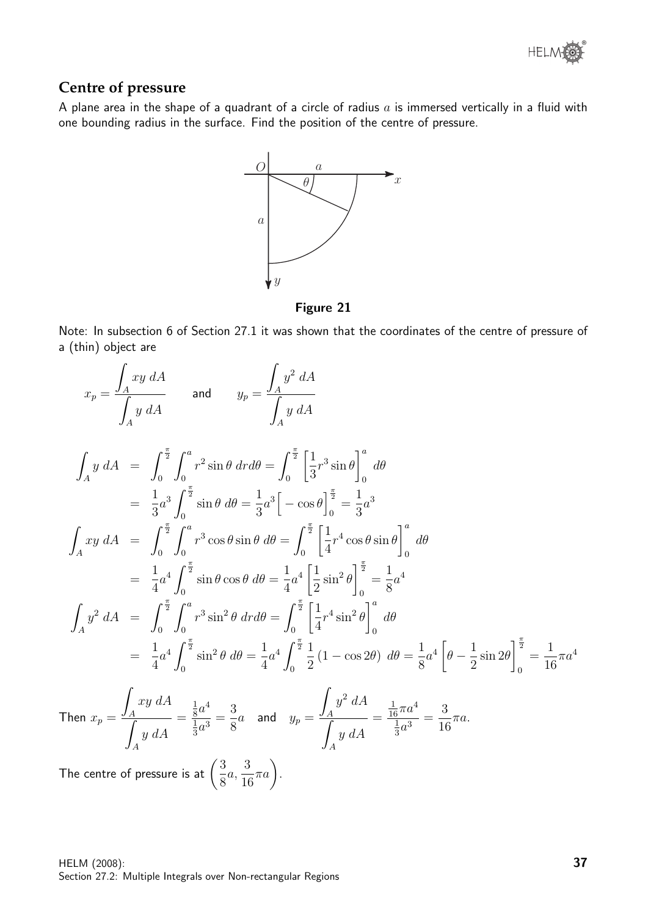

## **Centre of pressure**

A plane area in the shape of a quadrant of a circle of radius  $a$  is immersed vertically in a fluid with one bounding radius in the surface. Find the position of the centre of pressure.



Figure 21

Note: In subsection 6 of Section 27.1 it was shown that the coordinates of the centre of pressure of a (thin) object are

$$
x_p = \frac{\int_A xy \, dA}{\int_A y \, dA} \qquad \text{and} \qquad y_p = \frac{\int_A y^2 \, dA}{\int_A y \, dA}
$$
\n
$$
\int_A y \, dA = \int_0^{\frac{\pi}{2}} \int_0^a r^2 \sin \theta \, dr d\theta = \int_0^{\frac{\pi}{2}} \left[ \frac{1}{3} r^3 \sin \theta \right]_0^a \, d\theta
$$
\n
$$
= \frac{1}{3} a^3 \int_0^{\frac{\pi}{2}} \sin \theta \, d\theta = \frac{1}{3} a^3 \left[ -\cos \theta \right]_0^{\frac{\pi}{2}} = \frac{1}{3} a^3
$$
\n
$$
\int_A xy \, dA = \int_0^{\frac{\pi}{2}} \int_0^a r^3 \cos \theta \sin \theta \, d\theta = \int_0^{\frac{\pi}{2}} \left[ \frac{1}{4} r^4 \cos \theta \sin \theta \right]_0^a \, d\theta
$$
\n
$$
= \frac{1}{4} a^4 \int_0^{\frac{\pi}{2}} \sin \theta \cos \theta \, d\theta = \frac{1}{4} a^4 \left[ \frac{1}{2} \sin^2 \theta \right]_0^{\frac{\pi}{2}} = \frac{1}{8} a^4
$$
\n
$$
\int_A y^2 \, dA = \int_0^{\frac{\pi}{2}} \int_0^a r^3 \sin^2 \theta \, dr d\theta = \int_0^{\frac{\pi}{2}} \left[ \frac{1}{4} r^4 \sin^2 \theta \right]_0^a \, d\theta
$$
\n
$$
= \frac{1}{4} a^4 \int_0^{\frac{\pi}{2}} \sin^2 \theta \, d\theta = \frac{1}{4} a^4 \int_0^{\frac{\pi}{2}} \frac{1}{2} (1 - \cos 2\theta) \, d\theta = \frac{1}{8} a^4 \left[ \theta - \frac{1}{2} \sin 2\theta \right]_0^{\frac{\pi}{2}} = \frac{1}{16} \pi a^4
$$
\nThen  $x_p = \frac{\int_A xy \, dA}{\int_A y \, dA} = \frac{\frac{1}{8} a^4}{\frac{1}{3} a^3} = \frac{3}{8} a$  and  $y_p = \frac{\int_A y^2 \, dA}{\$ 

The centre of pressure is at  $\left(\frac{3}{2}\right)$ 8 a, 3 16  $\pi a$ .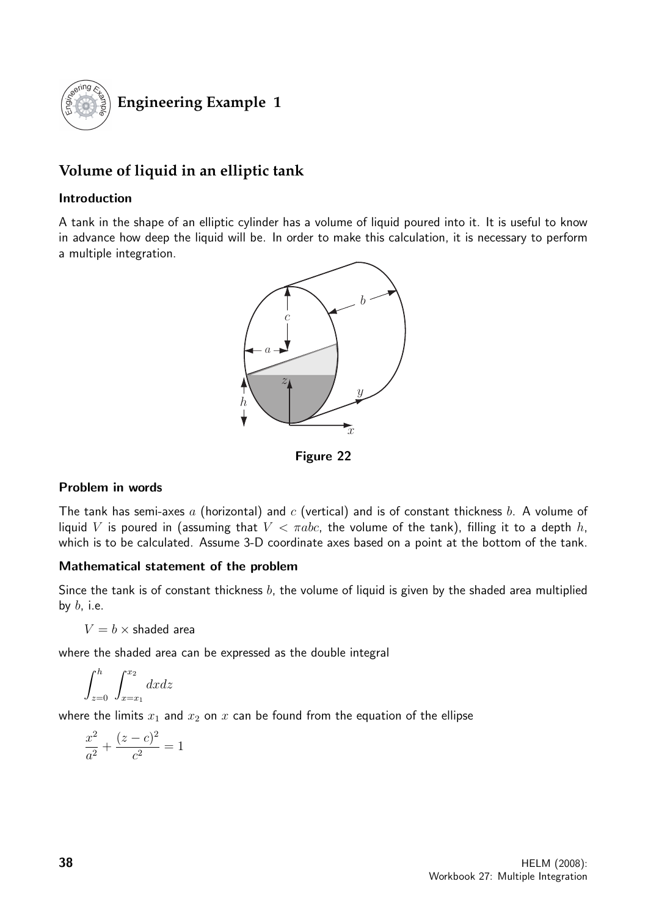

# **Volume of liquid in an elliptic tank**

#### Introduction

A tank in the shape of an elliptic cylinder has a volume of liquid poured into it. It is useful to know in advance how deep the liquid will be. In order to make this calculation, it is necessary to perform a multiple integration.



Figure 22

#### Problem in words

The tank has semi-axes a (horizontal) and c (vertical) and is of constant thickness b. A volume of liquid V is poured in (assuming that  $V < \pi abc$ , the volume of the tank), filling it to a depth h, which is to be calculated. Assume 3-D coordinate axes based on a point at the bottom of the tank.

#### Mathematical statement of the problem

Since the tank is of constant thickness  $b$ , the volume of liquid is given by the shaded area multiplied by  $b$ , i.e.

 $V = b \times$  shaded area

where the shaded area can be expressed as the double integral

$$
\int_{z=0}^{h} \int_{x=x_1}^{x_2} dx dz
$$

where the limits  $x_1$  and  $x_2$  on  $x$  can be found from the equation of the ellipse

$$
\frac{x^2}{a^2} + \frac{(z-c)^2}{c^2} = 1
$$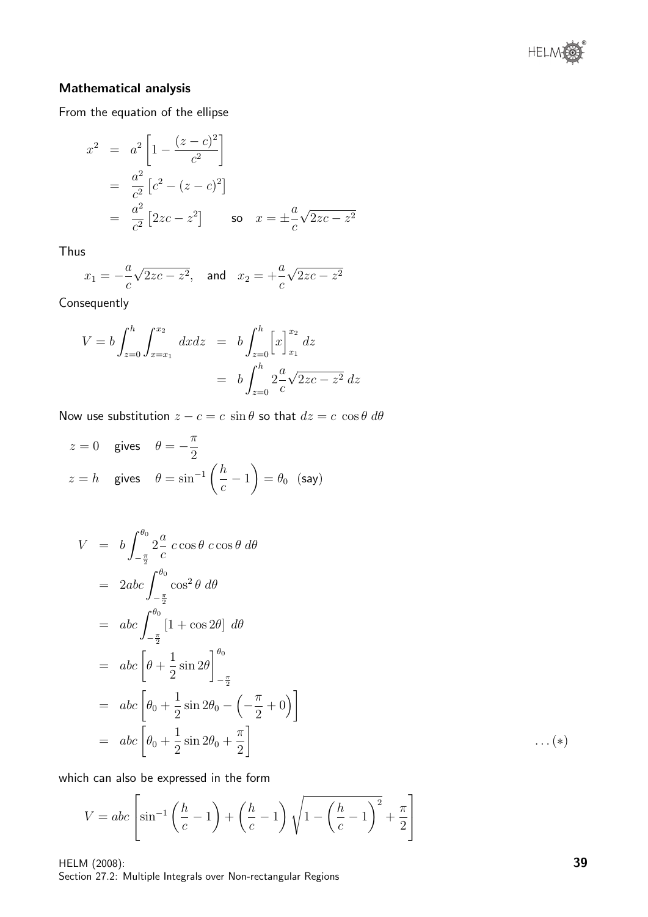

### Mathematical analysis

From the equation of the ellipse

$$
x^{2} = a^{2} \left[ 1 - \frac{(z - c)^{2}}{c^{2}} \right]
$$
  
=  $\frac{a^{2}}{c^{2}} [c^{2} - (z - c)^{2}]$   
=  $\frac{a^{2}}{c^{2}} [2zc - z^{2}]$  so  $x = \pm \frac{a}{c} \sqrt{2zc - z^{2}}$ 

Thus

$$
x_1 = -\frac{a}{c}\sqrt{2zc - z^2}
$$
, and  $x_2 = +\frac{a}{c}\sqrt{2zc - z^2}$ 

Consequently

$$
V = b \int_{z=0}^{h} \int_{x=x_1}^{x_2} dx dz = b \int_{z=0}^{h} \left[ x \right]_{x_1}^{x_2} dz
$$
  
=  $b \int_{z=0}^{h} 2 \frac{a}{c} \sqrt{2zc - z^2} dz$ 

Now use substitution  $z - c = c \sin \theta$  so that  $dz = c \cos \theta d\theta$ 

$$
z = 0
$$
 gives  $\theta = -\frac{\pi}{2}$   
\n $z = h$  gives  $\theta = \sin^{-1}\left(\frac{h}{c} - 1\right) = \theta_0$  (say)

$$
V = b \int_{-\frac{\pi}{2}}^{\theta_0} 2\frac{a}{c} \cos \theta \cos \theta \, d\theta
$$
  
\n
$$
= 2abc \int_{-\frac{\pi}{2}}^{\theta_0} \cos^2 \theta \, d\theta
$$
  
\n
$$
= abc \int_{-\frac{\pi}{2}}^{\theta_0} [1 + \cos 2\theta] \, d\theta
$$
  
\n
$$
= abc \left[ \theta + \frac{1}{2} \sin 2\theta \right]_{-\frac{\pi}{2}}^{\theta_0}
$$
  
\n
$$
= abc \left[ \theta_0 + \frac{1}{2} \sin 2\theta_0 - \left( -\frac{\pi}{2} + 0 \right) \right]
$$
  
\n
$$
= abc \left[ \theta_0 + \frac{1}{2} \sin 2\theta_0 + \frac{\pi}{2} \right]
$$
 ... (\*)

which can also be expressed in the form

$$
V = abc \left[ sin^{-1} \left( \frac{h}{c} - 1 \right) + \left( \frac{h}{c} - 1 \right) \sqrt{1 - \left( \frac{h}{c} - 1 \right)^2} + \frac{\pi}{2} \right]
$$

HELM (2008): Section 27.2: Multiple Integrals over Non-rectangular Regions